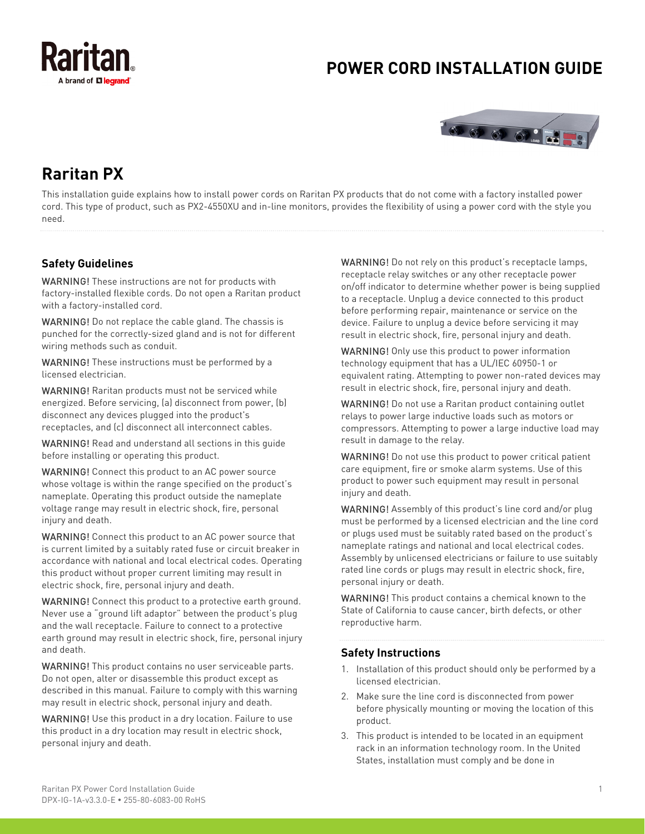

# **POWER CORD INSTALLATION GUIDE**



# **Raritan PX**

This installation guide explains how to install power cords on Raritan PX products that do not come with a factory installed power cord. This type of product, such as PX2-4550XU and in-line monitors, provides the flexibility of using a power cord with the style you need.

# **Safety Guidelines**

WARNING! These instructions are not for products with factory-installed flexible cords. Do not open a Raritan product with a factory-installed cord.

WARNING! Do not replace the cable gland. The chassis is punched for the correctly-sized gland and is not for different wiring methods such as conduit.

WARNING! These instructions must be performed by a licensed electrician.

WARNING! Raritan products must not be serviced while energized. Before servicing, (a) disconnect from power, (b) disconnect any devices plugged into the product's receptacles, and (c) disconnect all interconnect cables.

WARNING! Read and understand all sections in this guide before installing or operating this product.

WARNING! Connect this product to an AC power source whose voltage is within the range specified on the product's nameplate. Operating this product outside the nameplate voltage range may result in electric shock, fire, personal injury and death.

WARNING! Connect this product to an AC power source that is current limited by a suitably rated fuse or circuit breaker in accordance with national and local electrical codes. Operating this product without proper current limiting may result in electric shock, fire, personal injury and death.

WARNING! Connect this product to a protective earth ground. Never use a "ground lift adaptor" between the product's plug and the wall receptacle. Failure to connect to a protective earth ground may result in electric shock, fire, personal injury and death.

WARNING! This product contains no user serviceable parts. Do not open, alter or disassemble this product except as described in this manual. Failure to comply with this warning may result in electric shock, personal injury and death.

WARNING! Use this product in a dry location. Failure to use this product in a dry location may result in electric shock, personal injury and death.

WARNING! Do not rely on this product's receptacle lamps, receptacle relay switches or any other receptacle power on/off indicator to determine whether power is being supplied to a receptacle. Unplug a device connected to this product before performing repair, maintenance or service on the device. Failure to unplug a device before servicing it may result in electric shock, fire, personal injury and death.

WARNING! Only use this product to power information technology equipment that has a UL/IEC 60950-1 or equivalent rating. Attempting to power non-rated devices may result in electric shock, fire, personal injury and death.

WARNING! Do not use a Raritan product containing outlet relays to power large inductive loads such as motors or compressors. Attempting to power a large inductive load may result in damage to the relay.

WARNING! Do not use this product to power critical patient care equipment, fire or smoke alarm systems. Use of this product to power such equipment may result in personal injury and death.

WARNING! Assembly of this product's line cord and/or plug must be performed by a licensed electrician and the line cord or plugs used must be suitably rated based on the product's nameplate ratings and national and local electrical codes. Assembly by unlicensed electricians or failure to use suitably rated line cords or plugs may result in electric shock, fire, personal injury or death.

WARNING! This product contains a chemical known to the State of California to cause cancer, birth defects, or other reproductive harm.

#### **Safety Instructions**

- 1. Installation of this product should only be performed by a licensed electrician.
- 2. Make sure the line cord is disconnected from power before physically mounting or moving the location of this product.
- 3. This product is intended to be located in an equipment rack in an information technology room. In the United States, installation must comply and be done in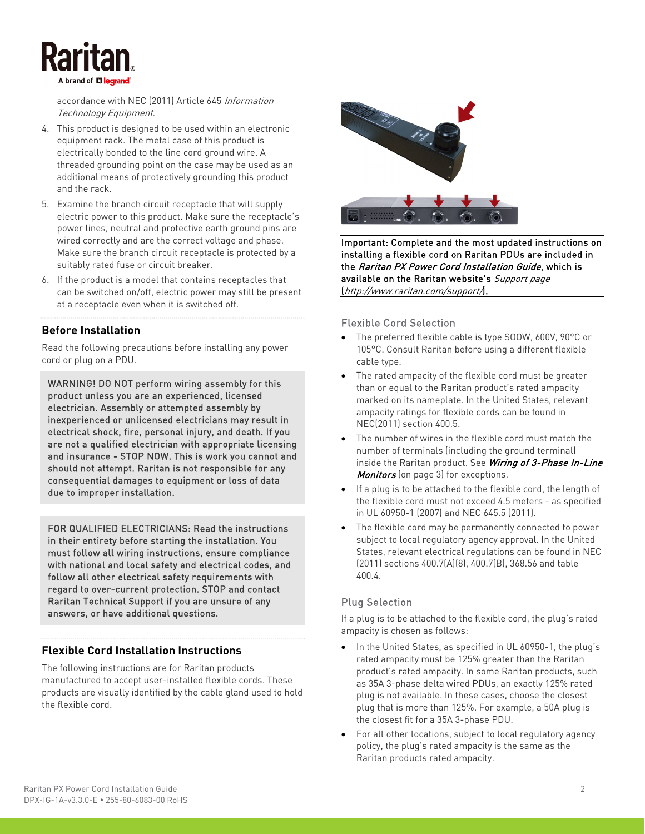accordance with NEC (2011) Article 645 Information Technology Equipment.

- 4. This product is designed to be used within an electronic equipment rack. The metal case of this product is electrically bonded to the line cord ground wire. A threaded grounding point on the case may be used as an additional means of protectively grounding this product and the rack.
- 5. Examine the branch circuit receptacle that will supply electric power to this product. Make sure the receptacle's power lines, neutral and protective earth ground pins are wired correctly and are the correct voltage and phase. Make sure the branch circuit receptacle is protected by a suitably rated fuse or circuit breaker.
- 6. If the product is a model that contains receptacles that can be switched on/off, electric power may still be present at a receptacle even when it is switched off.

### **Before Installation**

Read the following precautions before installing any power cord or plug on a PDU.

WARNING! DO NOT perform wiring assembly for this product unless you are an experienced, licensed electrician. Assembly or attempted assembly by inexperienced or unlicensed electricians may result in electrical shock, fire, personal injury, and death. If you are not a qualified electrician with appropriate licensing and insurance - STOP NOW. This is work you cannot and should not attempt. Raritan is not responsible for any consequential damages to equipment or loss of data due to improper installation.

FOR QUALIFIED ELECTRICIANS: Read the instructions in their entirety before starting the installation. You must follow all wiring instructions, ensure compliance with national and local safety and electrical codes, and follow all other electrical safety requirements with regard to over-current protection. STOP and contact Raritan Technical Support if you are unsure of any answers, or have additional questions.

# **Flexible Cord Installation Instructions**

The following instructions are for Raritan products manufactured to accept user-installed flexible cords. These products are visually identified by the cable gland used to hold the flexible cord.



Important: Complete and the most updated instructions on installing a flexible cord on Raritan PDUs are included in the Raritan PX Power Cord Installation Guide, which is available on the Raritan website's Support page (<http://www.raritan.com/support/>).

#### Flexible Cord Selection

- The preferred flexible cable is type SOOW, 600V, 90°C or 105°C. Consult Raritan before using a different flexible cable type.
- The rated ampacity of the flexible cord must be greater than or equal to the Raritan product's rated ampacity marked on its nameplate. In the United States, relevant ampacity ratings for flexible cords can be found in NEC(2011) section 400.5.
- The number of wires in the flexible cord must match the number of terminals (including the ground terminal) inside the Raritan product. See Wiring of 3-Phase In-Line Monitors (on page [3\)](#page-2-0) for exceptions.
- If a plug is to be attached to the flexible cord, the length of the flexible cord must not exceed 4.5 meters - as specified in UL 60950-1 (2007) and NEC 645.5 (2011).
- The flexible cord may be permanently connected to power subject to local regulatory agency approval. In the United States, relevant electrical regulations can be found in NEC (2011) sections 400.7(A)(8), 400.7(B), 368.56 and table 400.4.

# Plug Selection

If a plug is to be attached to the flexible cord, the plug's rated ampacity is chosen as follows:

- In the United States, as specified in UL 60950-1, the plug's rated ampacity must be 125% greater than the Raritan product's rated ampacity. In some Raritan products, such as 35A 3-phase delta wired PDUs, an exactly 125% rated plug is not available. In these cases, choose the closest plug that is more than 125%. For example, a 50A plug is the closest fit for a 35A 3-phase PDU.
- For all other locations, subject to local regulatory agency policy, the plug's rated ampacity is the same as the Raritan products rated ampacity.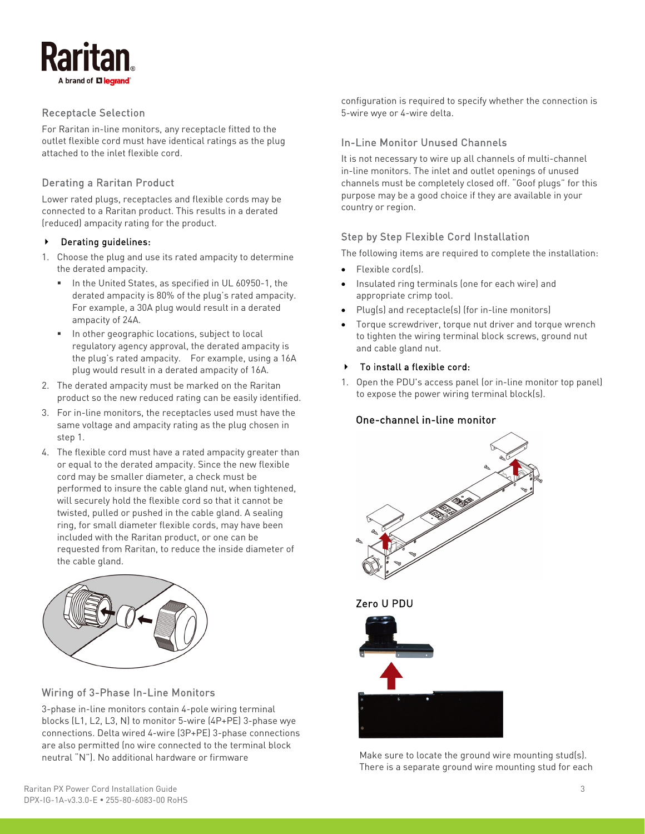

### Receptacle Selection

For Raritan in-line monitors, any receptacle fitted to the outlet flexible cord must have identical ratings as the plug attached to the inlet flexible cord.

#### Derating a Raritan Product

Lower rated plugs, receptacles and flexible cords may be connected to a Raritan product. This results in a derated (reduced) ampacity rating for the product.

#### Derating guidelines:

- 1. Choose the plug and use its rated ampacity to determine the derated ampacity.
	- In the United States, as specified in UL 60950-1, the derated ampacity is 80% of the plug's rated ampacity. For example, a 30A plug would result in a derated ampacity of 24A.
	- In other geographic locations, subject to local regulatory agency approval, the derated ampacity is the plug's rated ampacity. For example, using a 16A plug would result in a derated ampacity of 16A.
- 2. The derated ampacity must be marked on the Raritan product so the new reduced rating can be easily identified.
- 3. For in-line monitors, the receptacles used must have the same voltage and ampacity rating as the plug chosen in step 1.
- 4. The flexible cord must have a rated ampacity greater than or equal to the derated ampacity. Since the new flexible cord may be smaller diameter, a check must be performed to insure the cable gland nut, when tightened, will securely hold the flexible cord so that it cannot be twisted, pulled or pushed in the cable gland. A sealing ring, for small diameter flexible cords, may have been included with the Raritan product, or one can be requested from Raritan, to reduce the inside diameter of the cable gland.



#### <span id="page-2-0"></span>Wiring of 3-Phase In-Line Monitors

3-phase in-line monitors contain 4-pole wiring terminal blocks (L1, L2, L3, N) to monitor 5-wire (4P+PE) 3-phase wye connections. Delta wired 4-wire (3P+PE) 3-phase connections are also permitted (no wire connected to the terminal block neutral "N"). No additional hardware or firmware

configuration is required to specify whether the connection is 5-wire wye or 4-wire delta.

#### In-Line Monitor Unused Channels

It is not necessary to wire up all channels of multi-channel in-line monitors. The inlet and outlet openings of unused channels must be completely closed off. "Goof plugs" for this purpose may be a good choice if they are available in your country or region.

#### Step by Step Flexible Cord Installation

The following items are required to complete the installation:

- Flexible cord(s).
- Insulated ring terminals (one for each wire) and appropriate crimp tool.
- Plug(s) and receptacle(s) (for in-line monitors)
- Torque screwdriver, torque nut driver and torque wrench to tighten the wiring terminal block screws, ground nut and cable gland nut.

#### To install a flexible cord:

1. Open the PDU's access panel (or in-line monitor top panel) to expose the power wiring terminal block(s).

#### One-channel in-line monitor





Make sure to locate the ground wire mounting stud(s). There is a separate ground wire mounting stud for each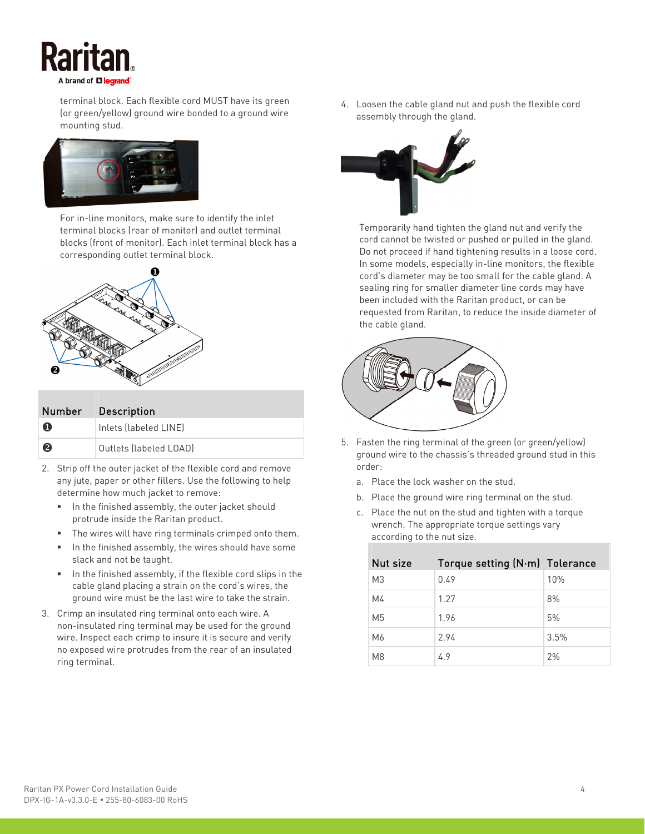

terminal block. Each flexible cord MUST have its green (or green/yellow) ground wire bonded to a ground wire mounting stud.



For in-line monitors, make sure to identify the inlet terminal blocks (rear of monitor) and outlet terminal blocks (front of monitor). Each inlet terminal block has a corresponding outlet terminal block.



| Number                | <b>Description</b>     |
|-----------------------|------------------------|
| Ω                     | Inlets (labeled LINE)  |
| $\boldsymbol{\Omega}$ | Outlets (labeled LOAD) |

- 2. Strip off the outer jacket of the flexible cord and remove any jute, paper or other fillers. Use the following to help determine how much jacket to remove:
	- In the finished assembly, the outer jacket should protrude inside the Raritan product.
	- The wires will have ring terminals crimped onto them.
	- In the finished assembly, the wires should have some slack and not be taught.
	- In the finished assembly, if the flexible cord slips in the cable gland placing a strain on the cord's wires, the ground wire must be the last wire to take the strain.
- 3. Crimp an insulated ring terminal onto each wire. A non-insulated ring terminal may be used for the ground wire. Inspect each crimp to insure it is secure and verify no exposed wire protrudes from the rear of an insulated ring terminal.

4. Loosen the cable gland nut and push the flexible cord assembly through the gland.



Temporarily hand tighten the gland nut and verify the cord cannot be twisted or pushed or pulled in the gland. Do not proceed if hand tightening results in a loose cord. In some models, especially in-line monitors, the flexible cord's diameter may be too small for the cable gland. A sealing ring for smaller diameter line cords may have been included with the Raritan product, or can be requested from Raritan, to reduce the inside diameter of the cable gland.



- 5. Fasten the ring terminal of the green (or green/yellow) ground wire to the chassis's threaded ground stud in this order:
	- a. Place the lock washer on the stud.
	- b. Place the ground wire ring terminal on the stud.
	- c. Place the nut on the stud and tighten with a torque wrench. The appropriate torque settings vary according to the nut size.

| Nut size       | Torque setting (N·m) Tolerance |      |
|----------------|--------------------------------|------|
| M3             | 0.49                           | 10%  |
| M4             | 1.27                           | 8%   |
| M <sub>5</sub> | 1.96                           | 5%   |
| M6             | 2.94                           | 3.5% |
| M8             | 4.9                            | 2%   |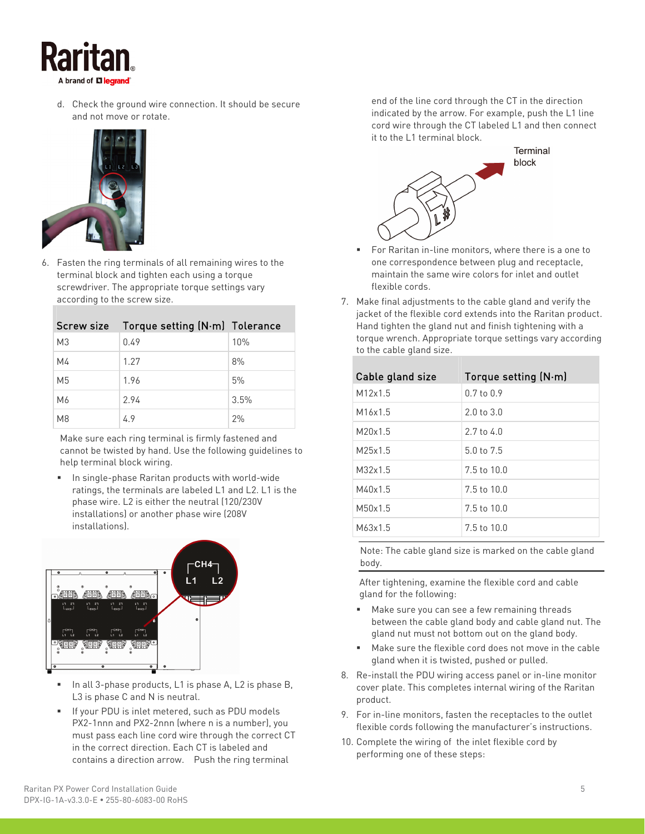

d. Check the ground wire connection. It should be secure and not move or rotate.



6. Fasten the ring terminals of all remaining wires to the terminal block and tighten each using a torque screwdriver. The appropriate torque settings vary according to the screw size.

| <b>Screw size</b> | Torque setting (N·m) Tolerance |      |
|-------------------|--------------------------------|------|
| M <sub>3</sub>    | 0.49                           | 10%  |
| M4                | 1.27                           | 8%   |
| M <sub>5</sub>    | 1.96                           | 5%   |
| M6                | 2.94                           | 3.5% |
| M <sub>8</sub>    | 49                             | 2%   |

Make sure each ring terminal is firmly fastened and cannot be twisted by hand. Use the following guidelines to help terminal block wiring.

 In single-phase Raritan products with world-wide ratings, the terminals are labeled L1 and L2. L1 is the phase wire. L2 is either the neutral (120/230V installations) or another phase wire (208V installations).



- In all 3-phase products, L1 is phase A, L2 is phase B, L3 is phase C and N is neutral.
- If your PDU is inlet metered, such as PDU models PX2-1nnn and PX2-2nnn (where n is a number), you must pass each line cord wire through the correct CT in the correct direction. Each CT is labeled and contains a direction arrow. Push the ring terminal

end of the line cord through the CT in the direction indicated by the arrow. For example, push the L1 line cord wire through the CT labeled L1 and then connect it to the L1 terminal block.



- For Raritan in-line monitors, where there is a one to one correspondence between plug and receptacle, maintain the same wire colors for inlet and outlet flexible cords.
- 7. Make final adjustments to the cable gland and verify the jacket of the flexible cord extends into the Raritan product. Hand tighten the gland nut and finish tightening with a torque wrench. Appropriate torque settings vary according to the cable gland size.

| Cable gland size    | Torque setting $(N \cdot m)$ |
|---------------------|------------------------------|
| M12x1.5             | $0.7$ to $0.9$               |
| M <sub>16x1.5</sub> | $2.0 \text{ to } 3.0$        |
| M20x1.5             | $2.7 \text{ to } 4.0$        |
| M25x1.5             | $5.0 \text{ to } 7.5$        |
| M <sub>32x1.5</sub> | 7.5 to 10.0                  |
| M40x1.5             | $7.5$ to $10.0$              |
| M50x1.5             | $7.5$ to $10.0$              |
| M63x1.5             | $7.5$ to $10.0$              |

Note: The cable gland size is marked on the cable gland body.

After tightening, examine the flexible cord and cable gland for the following:

- Make sure you can see a few remaining threads between the cable gland body and cable gland nut. The gland nut must not bottom out on the gland body.
- Make sure the flexible cord does not move in the cable gland when it is twisted, pushed or pulled.
- 8. Re-install the PDU wiring access panel or in-line monitor cover plate. This completes internal wiring of the Raritan product.
- 9. For in-line monitors, fasten the receptacles to the outlet flexible cords following the manufacturer's instructions.
- 10. Complete the wiring of the inlet flexible cord by performing one of these steps: